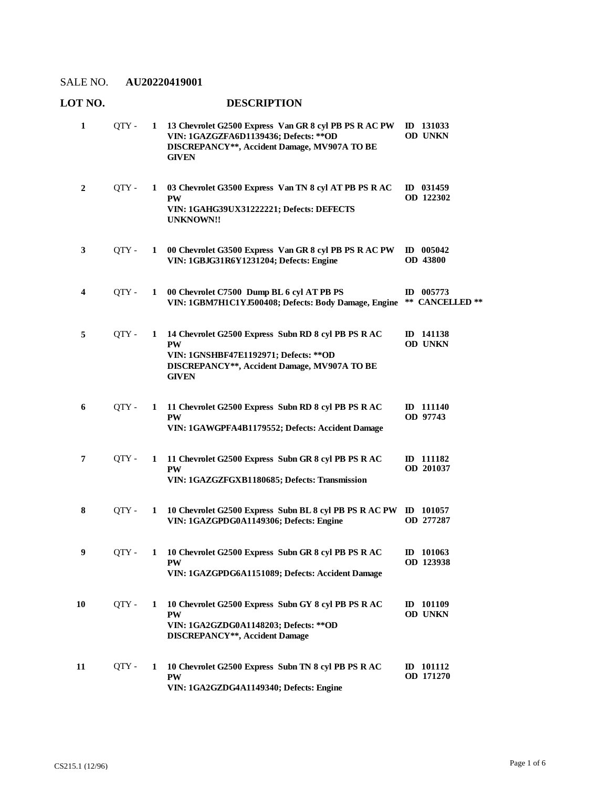#### **LOT NO. DESCRIPTION 13 Chevrolet G2500 Express Van GR 8 cyl PB PS R AC PW**  QTY - **1 ID 131033 VIN: 1GAZGZFA6D1139436; Defects: \*\*OD DISCREPANCY\*\*, Accident Damage, MV907A TO BE GIVEN OD UNKN 1 03 Chevrolet G3500 Express Van TN 8 cyl AT PB PS R AC**  QTY - **1 ID 031459 PW VIN: 1GAHG39UX31222221; Defects: DEFECTS UNKNOWN!! OD 122302 2 00 Chevrolet G3500 Express Van GR 8 cyl PB PS R AC PW**  QTY - **1 ID 005042 VIN: 1GBJG31R6Y1231204; Defects: Engine OD 43800 3 00 Chevrolet C7500 Dump BL 6 cyl AT PB PS**  QTY - **1 ID 005773 VIN: 1GBM7H1C1YJ500408; Defects: Body Damage, Engine \*\* CANCELLED \*\* 4 14 Chevrolet G2500 Express Subn RD 8 cyl PB PS R AC**  QTY - **1 ID 141138 PW VIN: 1GNSHBF47E1192971; Defects: \*\*OD DISCREPANCY\*\*, Accident Damage, MV907A TO BE GIVEN OD UNKN 5 11 Chevrolet G2500 Express Subn RD 8 cyl PB PS R AC**  QTY - **1 ID 111140 PW VIN: 1GAWGPFA4B1179552; Defects: Accident Damage OD 97743 6 11 Chevrolet G2500 Express Subn GR 8 cyl PB PS R AC**  QTY - **1 ID 111182 PW VIN: 1GAZGZFGXB1180685; Defects: Transmission OD 201037 7 10 Chevrolet G2500 Express Subn BL 8 cyl PB PS R AC PW**  QTY - **1 ID 101057 VIN: 1GAZGPDG0A1149306; Defects: Engine OD 277287 8 10 Chevrolet G2500 Express Subn GR 8 cyl PB PS R AC**  QTY - **1 ID 101063 PW VIN: 1GAZGPDG6A1151089; Defects: Accident Damage OD 123938 9 10 Chevrolet G2500 Express Subn GY 8 cyl PB PS R AC**  QTY - **1 ID 101109 PW VIN: 1GA2GZDG0A1148203; Defects: \*\*OD DISCREPANCY\*\*, Accident Damage OD UNKN 10 10 Chevrolet G2500 Express Subn TN 8 cyl PB PS R AC**  QTY - **1 ID 101112 PW VIN: 1GA2GZDG4A1149340; Defects: Engine OD 171270 11**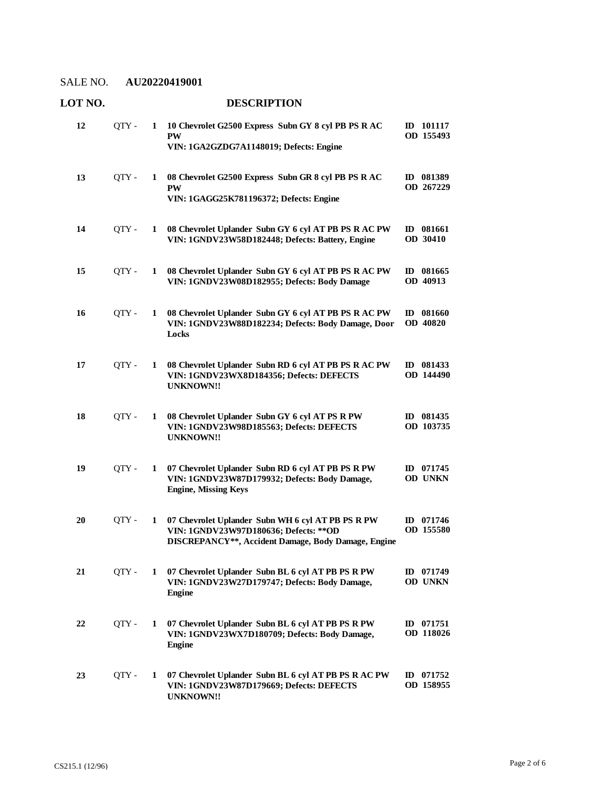| UI IV. |       |   | DESCRIE LIUN                                                                                                                                       |                              |
|--------|-------|---|----------------------------------------------------------------------------------------------------------------------------------------------------|------------------------------|
| 12     | QTY - | 1 | 10 Chevrolet G2500 Express Subn GY 8 cyl PB PS R AC<br><b>PW</b><br>VIN: 1GA2GZDG7A1148019; Defects: Engine                                        | ID 101117<br>OD 155493       |
| 13     | OTY - | 1 | 08 Chevrolet G2500 Express Subn GR 8 cyl PB PS R AC<br><b>PW</b><br>VIN: 1GAGG25K781196372; Defects: Engine                                        | ID 081389<br>OD 267229       |
| 14     | QTY - | 1 | 08 Chevrolet Uplander Subn GY 6 cyl AT PB PS R AC PW<br>VIN: 1GNDV23W58D182448; Defects: Battery, Engine                                           | ID 081661<br>OD 30410        |
| 15     | QTY-  | 1 | 08 Chevrolet Uplander Subn GY 6 cyl AT PB PS R AC PW<br>VIN: 1GNDV23W08D182955; Defects: Body Damage                                               | ID 081665<br>OD 40913        |
| 16     | QTY - | 1 | 08 Chevrolet Uplander Subn GY 6 cyl AT PB PS R AC PW<br>VIN: 1GNDV23W88D182234; Defects: Body Damage, Door<br>Locks                                | ID 081660<br><b>OD 40820</b> |
| 17     | QTY-  | 1 | 08 Chevrolet Uplander Subn RD 6 cyl AT PB PS R AC PW<br>VIN: 1GNDV23WX8D184356; Defects: DEFECTS<br><b>UNKNOWN!!</b>                               | ID 081433<br>OD 144490       |
| 18     | QTY - | 1 | 08 Chevrolet Uplander Subn GY 6 cyl AT PS R PW<br>VIN: 1GNDV23W98D185563; Defects: DEFECTS<br><b>UNKNOWN!!</b>                                     | ID 081435<br>OD 103735       |
| 19     | QTY - | 1 | 07 Chevrolet Uplander Subn RD 6 cyl AT PB PS R PW<br>VIN: 1GNDV23W87D179932; Defects: Body Damage,<br><b>Engine, Missing Keys</b>                  | ID 071745<br><b>OD UNKN</b>  |
| 20     | QTY - | 1 | 07 Chevrolet Uplander Subn WH 6 cyl AT PB PS R PW<br>VIN: 1GNDV23W97D180636; Defects: ** OD<br>DISCREPANCY**, Accident Damage, Body Damage, Engine | ID 071746<br>OD 155580       |
| 21     | QTY - | 1 | 07 Chevrolet Uplander Subn BL 6 cyl AT PB PS R PW<br>VIN: 1GNDV23W27D179747; Defects: Body Damage,<br><b>Engine</b>                                | ID 071749<br>OD UNKN         |
| 22     | QTY-  | 1 | 07 Chevrolet Uplander Subn BL 6 cyl AT PB PS R PW<br>VIN: 1GNDV23WX7D180709; Defects: Body Damage,<br><b>Engine</b>                                | ID $071751$<br>OD 118026     |
| 23     | OTY - | 1 | 07 Chevrolet Uplander Subn BL 6 cyl AT PB PS R AC PW<br>VIN: 1GNDV23W87D179669; Defects: DEFECTS<br><b>UNKNOWN!!</b>                               | ID 071752<br>OD 158955       |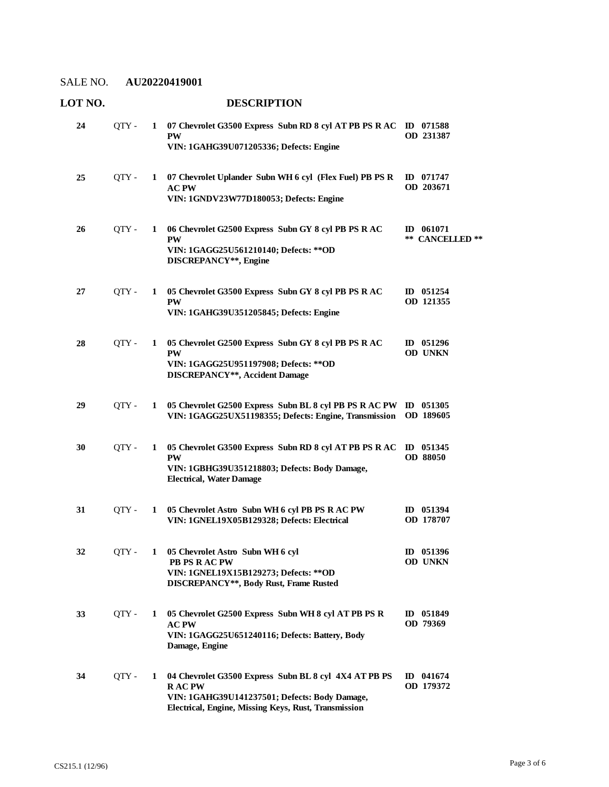| LOT NO. |       |   | <b>DESCRIPTION</b>                                                                                                                                                             |                                |
|---------|-------|---|--------------------------------------------------------------------------------------------------------------------------------------------------------------------------------|--------------------------------|
| 24      | QTY - | 1 | 07 Chevrolet G3500 Express Subn RD 8 cyl AT PB PS R AC ID 071588<br><b>PW</b><br>VIN: 1GAHG39U071205336; Defects: Engine                                                       | OD 231387                      |
| 25      | QTY - | 1 | 07 Chevrolet Uplander Subn WH 6 cyl (Flex Fuel) PB PS R<br><b>AC PW</b><br>VIN: 1GNDV23W77D180053; Defects: Engine                                                             | ID 071747<br>OD 203671         |
| 26      | OTY - | 1 | 06 Chevrolet G2500 Express Subn GY 8 cyl PB PS R AC<br><b>PW</b><br>VIN: 1GAGG25U561210140; Defects: ** OD<br>DISCREPANCY**, Engine                                            | $ID$ 061071<br>** CANCELLED ** |
| 27      | OTY - | 1 | 05 Chevrolet G3500 Express Subn GY 8 cyl PB PS R AC<br><b>PW</b><br>VIN: 1GAHG39U351205845; Defects: Engine                                                                    | ID $051254$<br>OD 121355       |
| 28      | QTY - | 1 | 05 Chevrolet G2500 Express Subn GY 8 cyl PB PS R AC<br><b>PW</b><br>VIN: 1GAGG25U951197908; Defects: ** OD<br><b>DISCREPANCY**, Accident Damage</b>                            | ID 051296<br>OD UNKN           |
| 29      | QTY - | 1 | 05 Chevrolet G2500 Express Subn BL 8 cyl PB PS R AC PW<br>VIN: 1GAGG25UX51198355; Defects: Engine, Transmission                                                                | ID 051305<br>OD 189605         |
| 30      | QTY - | 1 | 05 Chevrolet G3500 Express Subn RD 8 cyl AT PB PS R AC<br><b>PW</b><br>VIN: 1GBHG39U351218803; Defects: Body Damage,<br><b>Electrical, Water Damage</b>                        | ID 051345<br><b>OD 88050</b>   |
| 31      | QTY - | 1 | 05 Chevrolet Astro Subn WH 6 cyl PB PS R AC PW<br>VIN: 1GNEL19X05B129328; Defects: Electrical                                                                                  | ID 051394<br>OD 178707         |
| 32      | OTY - |   | 1 05 Chevrolet Astro Subn WH 6 cyl<br>PB PS R AC PW<br>VIN: 1GNEL19X15B129273; Defects: ** OD<br>DISCREPANCY**, Body Rust, Frame Rusted                                        | ID 051396<br><b>OD UNKN</b>    |
| 33      | QTY - | 1 | 05 Chevrolet G2500 Express Subn WH 8 cyl AT PB PS R<br>$\bf AC$ $\bf PW$<br>VIN: 1GAGG25U651240116; Defects: Battery, Body<br>Damage, Engine                                   | ID 051849<br>OD 79369          |
| 34      | QTY - | 1 | 04 Chevrolet G3500 Express Subn BL 8 cyl 4X4 AT PB PS<br><b>RACPW</b><br>VIN: 1GAHG39U141237501; Defects: Body Damage,<br>Electrical, Engine, Missing Keys, Rust, Transmission | ID 041674<br>OD 179372         |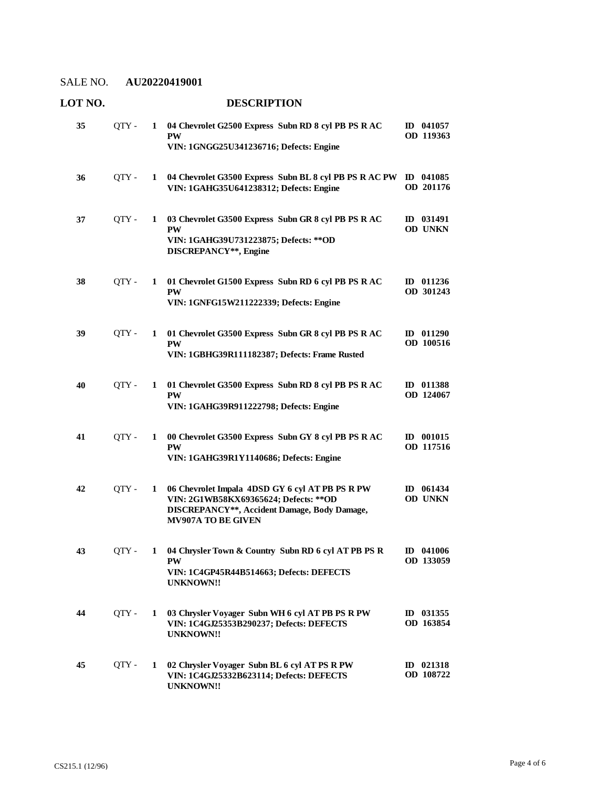| 35 | OTY - | 1            | 04 Chevrolet G2500 Express Subn RD 8 cyl PB PS R AC<br><b>PW</b><br>VIN: 1GNGG25U341236716; Defects: Engine                                                     | $ID$ 041057<br>OD 119363    |
|----|-------|--------------|-----------------------------------------------------------------------------------------------------------------------------------------------------------------|-----------------------------|
| 36 | OTY - | 1            | 04 Chevrolet G3500 Express Subn BL 8 cyl PB PS R AC PW ID 041085<br>VIN: 1GAHG35U641238312; Defects: Engine                                                     | OD 201176                   |
| 37 | QTY - | 1            | 03 Chevrolet G3500 Express Subn GR 8 cyl PB PS R AC<br><b>PW</b><br>VIN: 1GAHG39U731223875; Defects: ** OD<br>DISCREPANCY**, Engine                             | ID 031491<br>OD UNKN        |
| 38 | QTY - | 1            | 01 Chevrolet G1500 Express Subn RD 6 cyl PB PS R AC<br><b>PW</b><br>VIN: 1GNFG15W211222339; Defects: Engine                                                     | ID 011236<br>OD 301243      |
| 39 | OTY - | 1            | 01 Chevrolet G3500 Express Subn GR 8 cyl PB PS R AC<br><b>PW</b><br>VIN: 1GBHG39R111182387; Defects: Frame Rusted                                               | $ID$ 011290<br>OD 100516    |
| 40 | QTY - | 1            | 01 Chevrolet G3500 Express Subn RD 8 cyl PB PS R AC<br><b>PW</b><br>VIN: 1GAHG39R911222798; Defects: Engine                                                     | ID 011388<br>OD 124067      |
| 41 | OTY - | 1            | 00 Chevrolet G3500 Express Subn GY 8 cyl PB PS R AC<br><b>PW</b><br>VIN: 1GAHG39R1Y1140686; Defects: Engine                                                     | ID 001015<br>OD 117516      |
| 42 | OTY - | 1            | 06 Chevrolet Impala 4DSD GY 6 cyl AT PB PS R PW<br>VIN: 2G1WB58KX69365624; Defects: ** OD<br>DISCREPANCY**, Accident Damage, Body Damage,<br>MV907A TO BE GIVEN | ID 061434<br><b>OD UNKN</b> |
| 43 | QTY - |              | 1 04 Chrysler Town & Country Subn RD 6 cyl AT PB PS R<br><b>PW</b><br>VIN: 1C4GP45R44B514663; Defects: DEFECTS<br>UNKNOWN!!                                     | ID 041006<br>OD 133059      |
| 44 | QTY - | 1            | 03 Chrysler Voyager Subn WH 6 cyl AT PB PS R PW<br>VIN: 1C4GJ25353B290237; Defects: DEFECTS<br><b>UNKNOWN!!</b>                                                 | ID 031355<br>OD 163854      |
| 45 | QTY - | $\mathbf{1}$ | 02 Chrysler Voyager Subn BL 6 cyl AT PS R PW<br>VIN: 1C4GJ25332B623114; Defects: DEFECTS<br><b>UNKNOWN!!</b>                                                    | ID 021318<br>OD 108722      |

## **LOT NO. DESCRIPTION**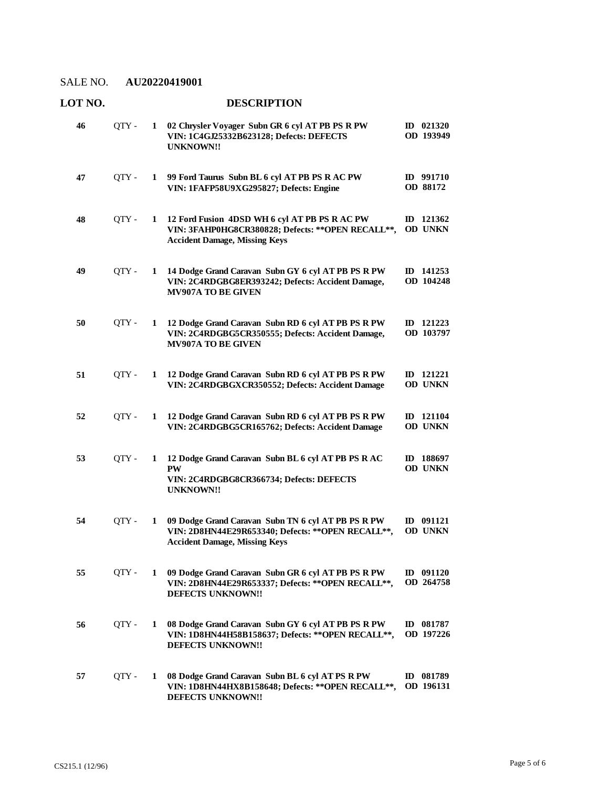**LOT NO. DESCRIPTION**

#### **02 Chrysler Voyager Subn GR 6 cyl AT PB PS R PW**  QTY - **1 ID 021320 VIN: 1C4GJ25332B623128; Defects: DEFECTS UNKNOWN!! OD 193949 46 99 Ford Taurus Subn BL 6 cyl AT PB PS R AC PW**  QTY - **1 ID 991710 VIN: 1FAFP58U9XG295827; Defects: Engine OD 88172 47 12 Ford Fusion 4DSD WH 6 cyl AT PB PS R AC PW**  QTY - **1 ID 121362 VIN: 3FAHP0HG8CR380828; Defects: \*\*OPEN RECALL\*\*, Accident Damage, Missing Keys OD UNKN 48 14 Dodge Grand Caravan Subn GY 6 cyl AT PB PS R PW**  QTY - **1 ID 141253 VIN: 2C4RDGBG8ER393242; Defects: Accident Damage, MV907A TO BE GIVEN OD 104248 49 12 Dodge Grand Caravan Subn RD 6 cyl AT PB PS R PW**  QTY - **1 ID 121223 VIN: 2C4RDGBG5CR350555; Defects: Accident Damage, MV907A TO BE GIVEN OD 103797 50 12 Dodge Grand Caravan Subn RD 6 cyl AT PB PS R PW**  QTY - **1 ID 121221 VIN: 2C4RDGBGXCR350552; Defects: Accident Damage OD UNKN 51 12 Dodge Grand Caravan Subn RD 6 cyl AT PB PS R PW**  QTY - **1 ID 121104 VIN: 2C4RDGBG5CR165762; Defects: Accident Damage OD UNKN 52 12 Dodge Grand Caravan Subn BL 6 cyl AT PB PS R AC**  QTY - **1 ID 188697 PW VIN: 2C4RDGBG8CR366734; Defects: DEFECTS UNKNOWN!! OD UNKN 53 09 Dodge Grand Caravan Subn TN 6 cyl AT PB PS R PW**  QTY - **1 ID 091121 VIN: 2D8HN44E29R653340; Defects: \*\*OPEN RECALL\*\*, Accident Damage, Missing Keys OD UNKN 54 09 Dodge Grand Caravan Subn GR 6 cyl AT PB PS R PW**  QTY - **1 ID 091120 VIN: 2D8HN44E29R653337; Defects: \*\*OPEN RECALL\*\*, DEFECTS UNKNOWN!! OD 264758 55 08 Dodge Grand Caravan Subn GY 6 cyl AT PB PS R PW**  QTY - **1 ID 081787 VIN: 1D8HN44H58B158637; Defects: \*\*OPEN RECALL\*\*, DEFECTS UNKNOWN!! OD 197226 56 08 Dodge Grand Caravan Subn BL 6 cyl AT PS R PW**  QTY - **1 ID 081789 VIN: 1D8HN44HX8B158648; Defects: \*\*OPEN RECALL\*\*, OD 196131 DEFECTS UNKNOWN!! 57**